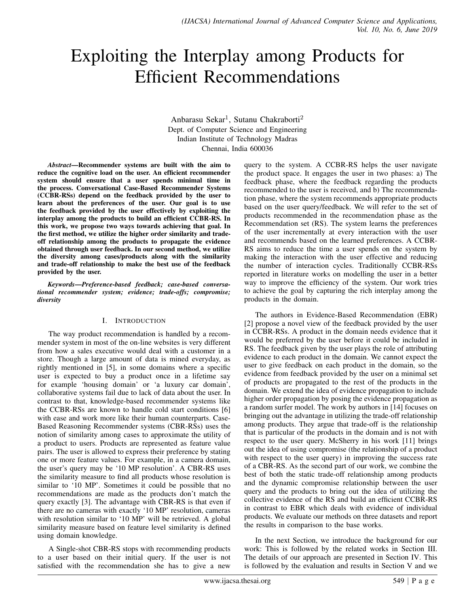# Exploiting the Interplay among Products for Efficient Recommendations

Anbarasu Sekar<sup>1</sup>, Sutanu Chakraborti<sup>2</sup> Dept. of Computer Science and Engineering Indian Institute of Technology Madras Chennai, India 600036

*Abstract*—Recommender systems are built with the aim to reduce the cognitive load on the user. An efficient recommender system should ensure that a user spends minimal time in the process. Conversational Case-Based Recommender Systems (CCBR-RSs) depend on the feedback provided by the user to learn about the preferences of the user. Our goal is to use the feedback provided by the user effectively by exploiting the interplay among the products to build an efficient CCBR-RS. In this work, we propose two ways towards achieving that goal. In the first method, we utilize the higher order similarity and tradeoff relationship among the products to propagate the evidence obtained through user feedback. In our second method, we utilize the diversity among cases/products along with the similarity and trade-off relationship to make the best use of the feedback provided by the user.

*Keywords*—*Preference-based feedback; case-based conversational recommender system; evidence; trade-offs; compromise; diversity*

### I. INTRODUCTION

The way product recommendation is handled by a recommender system in most of the on-line websites is very different from how a sales executive would deal with a customer in a store. Though a large amount of data is mined everyday, as rightly mentioned in [5], in some domains where a specific user is expected to buy a product once in a lifetime say for example 'housing domain' or 'a luxury car domain', collaborative systems fail due to lack of data about the user. In contrast to that, knowledge-based recommender systems like the CCBR-RSs are known to handle cold start conditions [6] with ease and work more like their human counterparts. Case-Based Reasoning Recommender systems (CBR-RSs) uses the notion of similarity among cases to approximate the utility of a product to users. Products are represented as feature value pairs. The user is allowed to express their preference by stating one or more feature values. For example, in a camera domain, the user's query may be '10 MP resolution'. A CBR-RS uses the similarity measure to find all products whose resolution is similar to '10 MP'. Sometimes it could be possible that no recommendations are made as the products don't match the query exactly [3]. The advantage with CBR-RS is that even if there are no cameras with exactly '10 MP' resolution, cameras with resolution similar to '10 MP' will be retrieved. A global similarity measure based on feature level similarity is defined using domain knowledge.

A Single-shot CBR-RS stops with recommending products to a user based on their initial query. If the user is not satisfied with the recommendation she has to give a new

query to the system. A CCBR-RS helps the user navigate the product space. It engages the user in two phases: a) The feedback phase, where the feedback regarding the products recommended to the user is received, and b) The recommendation phase, where the system recommends appropriate products based on the user query/feedback. We will refer to the set of products recommended in the recommendation phase as the Recommendation set (RS). The system learns the preferences of the user incrementally at every interaction with the user and recommends based on the learned preferences. A CCBR-RS aims to reduce the time a user spends on the system by making the interaction with the user effective and reducing the number of interaction cycles. Traditionally CCBR-RSs reported in literature works on modelling the user in a better way to improve the efficiency of the system. Our work tries to achieve the goal by capturing the rich interplay among the products in the domain.

The authors in Evidence-Based Recommendation (EBR) [2] propose a novel view of the feedback provided by the user in CCBR-RSs. A product in the domain needs evidence that it would be preferred by the user before it could be included in RS. The feedback given by the user plays the role of attributing evidence to each product in the domain. We cannot expect the user to give feedback on each product in the domain, so the evidence from feedback provided by the user on a minimal set of products are propagated to the rest of the products in the domain. We extend the idea of evidence propagation to include higher order propagation by posing the evidence propagation as a random surfer model. The work by authors in [14] focuses on bringing out the advantage in utilizing the trade-off relationship among products. They argue that trade-off is the relationship that is particular of the products in the domain and is not with respect to the user query. McSherry in his work [11] brings out the idea of using compromise (the relationship of a product with respect to the user query) in improving the success rate of a CBR-RS. As the second part of our work, we combine the best of both the static trade-off relationship among products and the dynamic compromise relationship between the user query and the products to bring out the idea of utilizing the collective evidence of the RS and build an efficient CCBR-RS in contrast to EBR which deals with evidence of individual products. We evaluate our methods on three datasets and report the results in comparison to the base works.

In the next Section, we introduce the background for our work: This is followed by the related works in Section III. The details of our approach are presented in Section IV. This is followed by the evaluation and results in Section V and we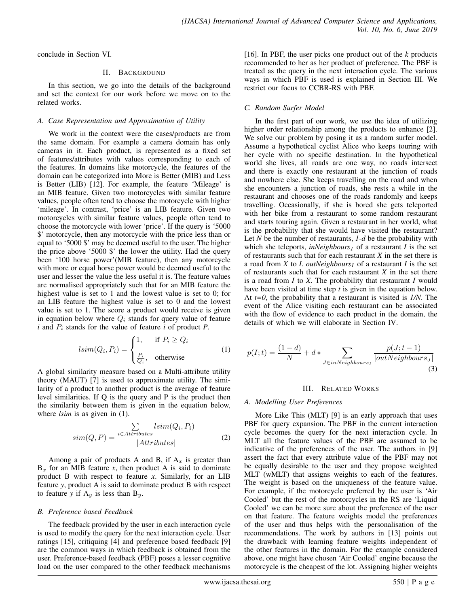conclude in Section VI.

### II. BACKGROUND

In this section, we go into the details of the background and set the context for our work before we move on to the related works.

## *A. Case Representation and Approximation of Utility*

We work in the context were the cases/products are from the same domain. For example a camera domain has only cameras in it. Each product, is represented as a fixed set of features/attributes with values corresponding to each of the features. In domains like motorcycle, the features of the domain can be categorized into More is Better (MIB) and Less is Better (LIB) [12]. For example, the feature 'Mileage' is an MIB feature. Given two motorcycles with similar feature values, people often tend to choose the motorcycle with higher 'mileage'. In contrast, 'price' is an LIB feature. Given two motorcycles with similar feature values, people often tend to choose the motorcycle with lower 'price'. If the query is '5000 \$' motorcycle, then any motorcycle with the price less than or equal to '5000 \$' may be deemed useful to the user. The higher the price above '5000 \$' the lower the utility. Had the query been '100 horse power'(MIB feature), then any motorcycle with more or equal horse power would be deemed useful to the user and lesser the value the less useful it is. The feature values are normalised appropriately such that for an MIB feature the highest value is set to 1 and the lowest value is set to 0; for an LIB feature the highest value is set to 0 and the lowest value is set to 1. The score a product would receive is given in equation below where  $Q_i$  stands for query value of feature  $i$  and  $P_i$  stands for the value of feature  $i$  of product  $P$ .

$$
lsim(Q_i, P_i) = \begin{cases} 1, & \text{if } P_i \ge Q_i \\ \frac{P_i}{Q_i}, & \text{otherwise} \end{cases}
$$
 (1)

A global similarity measure based on a Multi-attribute utility theory (MAUT) [7] is used to approximate utility. The similarity of a product to another product is the average of feature level similarities. If Q is the query and P is the product then the similarity between them is given in the equation below, where *lsim* is as given in (1).

$$
sim(Q, P) = \frac{\sum_{i \in Attributes} lsim(Q_i, P_i)}{|Attributes|}
$$
 (2)

Among a pair of products A and B, if  $A_x$  is greater than  $B_x$  for an MIB feature *x*, then product A is said to dominate product B with respect to feature *x*. Similarly, for an LIB feature *y*, product A is said to dominate product B with respect to feature *y* if  $A_y$  is less than  $B_y$ .

### *B. Preference based Feedback*

The feedback provided by the user in each interaction cycle is used to modify the query for the next interaction cycle. User ratings [15], critiquing [4] and preference based feedback [9] are the common ways in which feedback is obtained from the user. Preference-based feedback (PBF) poses a lesser cognitive load on the user compared to the other feedback mechanisms

[16]. In PBF, the user picks one product out of the *k* products recommended to her as her product of preference. The PBF is treated as the query in the next interaction cycle. The various ways in which PBF is used is explained in Section III. We restrict our focus to CCBR-RS with PBF.

## *C. Random Surfer Model*

In the first part of our work, we use the idea of utilizing higher order relationship among the products to enhance [2]. We solve our problem by posing it as a random surfer model. Assume a hypothetical cyclist Alice who keeps touring with her cycle with no specific destination. In the hypothetical world she lives, all roads are one way, no roads intersect and there is exactly one restaurant at the junction of roads and nowhere else. She keeps travelling on the road and when she encounters a junction of roads, she rests a while in the restaurant and chooses one of the roads randomly and keeps travelling. Occasionally, if she is bored she gets teleported with her bike from a restaurant to some random restaurant and starts touring again. Given a restaurant in her world, what is the probability that she would have visited the restaurant? Let *N* be the number of restaurants, *1-d* be the probability with which she teleports, *inNeighbours*<sub>I</sub> of a restaurant *I* is the set of restaurants such that for each restaurant *X* in the set there is a road from *X* to *I*. *outNeighbours<sub>I</sub>* of a restaurant *I* is the set of restaurants such that for each restaurant *X* in the set there is a road from *I* to *X*. The probability that restaurant *I* would have been visited at time step *t* is given in the equation below. At *t=0*, the probability that a restaurant is visited is *1/N*. The event of the Alice visiting each restaurant can be associated with the flow of evidence to each product in the domain, the details of which we will elaborate in Section IV.

$$
p(I;t) = \frac{(1-d)}{N} + d * \sum_{J \in inNeighbors_I} \frac{p(J;t-1)}{|outNeighbours_J|}
$$
\n(3)

### III. RELATED WORKS

### *A. Modelling User Preferences*

More Like This (MLT) [9] is an early approach that uses PBF for query expansion. The PBF in the current interaction cycle becomes the query for the next interaction cycle. In MLT all the feature values of the PBF are assumed to be indicative of the preferences of the user. The authors in [9] assert the fact that every attribute value of the PBF may not be equally desirable to the user and they propose weighted MLT (wMLT) that assigns weights to each of the features. The weight is based on the uniqueness of the feature value. For example, if the motorcycle preferred by the user is 'Air Cooled' but the rest of the motorcycles in the RS are 'Liquid Cooled' we can be more sure about the preference of the user on that feature. The feature weights model the preferences of the user and thus helps with the personalisation of the recommendations. The work by authors in [13] points out the drawback with learning feature weights independent of the other features in the domain. For the example considered above, one might have chosen 'Air Cooled' engine because the motorcycle is the cheapest of the lot. Assigning higher weights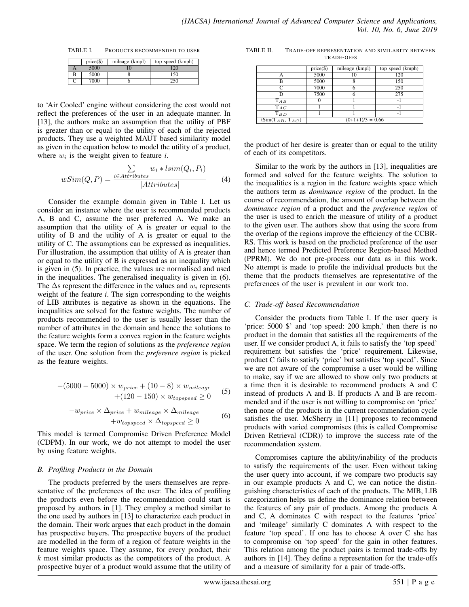TABLE I. PRODUCTS RECOMMENDED TO USER

|   | $price(\$))$ | mileage (kmpl) | top speed (kmph) |
|---|--------------|----------------|------------------|
|   | 5000         |                | $\overline{2}$   |
| B | 5000         |                | 150              |
|   | 7000         |                | 250              |

to 'Air Cooled' engine without considering the cost would not reflect the preferences of the user in an adequate manner. In [13], the authors make an assumption that the utility of PBF is greater than or equal to the utility of each of the rejected products. They use a weighted MAUT based similarity model as given in the equation below to model the utility of a product, where  $w_i$  is the weight given to feature *i*.

$$
wSim(Q, P) = \frac{\sum_{i \in Attributes} w_i * lsim(Q_i, P_i)}{|Attributes|}
$$
 (4)

Consider the example domain given in Table I. Let us consider an instance where the user is recommended products A, B and C, assume the user preferred A. We make an assumption that the utility of A is greater or equal to the utility of B and the utility of A is greater or equal to the utility of C. The assumptions can be expressed as inequalities. For illustration, the assumption that utility of A is greater than or equal to the utility of B is expressed as an inequality which is given in (5). In practice, the values are normalised and used in the inequalities. The generalised inequality is given in (6). The  $\Delta$ s represent the difference in the values and  $w_i$  represents weight of the feature *i*. The sign corresponding to the weights of LIB attributes is negative as shown in the equations. The inequalities are solved for the feature weights. The number of products recommended to the user is usually lesser than the number of attributes in the domain and hence the solutions to the feature weights form a convex region in the feature weights space. We term the region of solutions as the *preference region* of the user. One solution from the *preference region* is picked as the feature weights.

$$
-(5000 - 5000) \times w_{price} + (10 - 8) \times w_{mileage} + (120 - 150) \times w_{topspeed} \ge 0
$$
 (5)

$$
-w_{price} \times \Delta_{price} + w_{mileage} \times \Delta_{mileage}
$$
  
+w<sub>topspeed</sub> ×  $\Delta_{topspeed} \ge 0$  (6)

This model is termed Compromise Driven Preference Model (CDPM). In our work, we do not attempt to model the user by using feature weights.

### *B. Profiling Products in the Domain*

The products preferred by the users themselves are representative of the preferences of the user. The idea of profiling the products even before the recommendation could start is proposed by authors in [1]. They employ a method similar to the one used by authors in [13] to characterize each product in the domain. Their work argues that each product in the domain has prospective buyers. The prospective buyers of the product are modelled in the form of a region of feature weights in the feature weights space. They assume, for every product, their *k* most similar products as the competitors of the product. A prospective buyer of a product would assume that the utility of

| TABLE II. | <b>TRADE-OFF REPRESENTATION AND SIMILARITY BETWEEN</b> |
|-----------|--------------------------------------------------------|
|           | TRADE-OFFS                                             |

|                             | $price(\$))$       | mileage (kmpl) | top speed (kmph) |  |
|-----------------------------|--------------------|----------------|------------------|--|
|                             | 5000               | 10             | 120              |  |
| в                           | 5000               |                | 150              |  |
| ◠                           | 7000               |                | 250              |  |
|                             | 7500               |                | 275              |  |
| $T_{AB}$                    |                    |                | - 1              |  |
| $T_{AC}$                    |                    |                | - 1              |  |
| $T_{BD}$                    |                    |                | - 1              |  |
| tSim( $T_{AB}$ , $T_{AC}$ ) | $(0+1+1)/3 = 0.66$ |                |                  |  |

the product of her desire is greater than or equal to the utility of each of its competitors.

Similar to the work by the authors in [13], inequalities are formed and solved for the feature weights. The solution to the inequalities is a region in the feature weights space which the authors term as *dominance region* of the product. In the course of recommendation, the amount of overlap between the *dominance region* of a product and the *preference region* of the user is used to enrich the measure of utility of a product to the given user. The authors show that using the score from the overlap of the regions improve the efficiency of the CCBR-RS. This work is based on the predicted preference of the user and hence termed Predicted Preference Region-based Method (PPRM). We do not pre-process our data as in this work. No attempt is made to profile the individual products but the theme that the products themselves are representative of the preferences of the user is prevalent in our work too.

### *C. Trade-off based Recommendation*

Consider the products from Table I. If the user query is 'price: 5000 \$' and 'top speed: 200 kmph.' then there is no product in the domain that satisfies all the requirements of the user. If we consider product A, it fails to satisfy the 'top speed' requirement but satisfies the 'price' requirement. Likewise, product C fails to satisfy 'price' but satisfies 'top speed'. Since we are not aware of the compromise a user would be willing to make, say if we are allowed to show only two products at a time then it is desirable to recommend products A and C instead of products A and B. If products A and B are recommended and if the user is not willing to compromise on 'price' then none of the products in the current recommendation cycle satisfies the user. McSherry in [11] proposes to recommend products with varied compromises (this is called Compromise Driven Retrieval (CDR)) to improve the success rate of the recommendation system.

Compromises capture the ability/inability of the products to satisfy the requirements of the user. Even without taking the user query into account, if we compare two products say in our example products A and C, we can notice the distinguishing characteristics of each of the products. The MIB, LIB categorization helps us define the dominance relation between the features of any pair of products. Among the products A and C, A dominates C with respect to the features 'price' and 'mileage' similarly C dominates A with respect to the feature 'top speed'. If one has to choose A over C she has to compromise on 'top speed' for the gain in other features. This relation among the product pairs is termed trade-offs by authors in [14]. They define a representation for the trade-offs and a measure of similarity for a pair of trade-offs.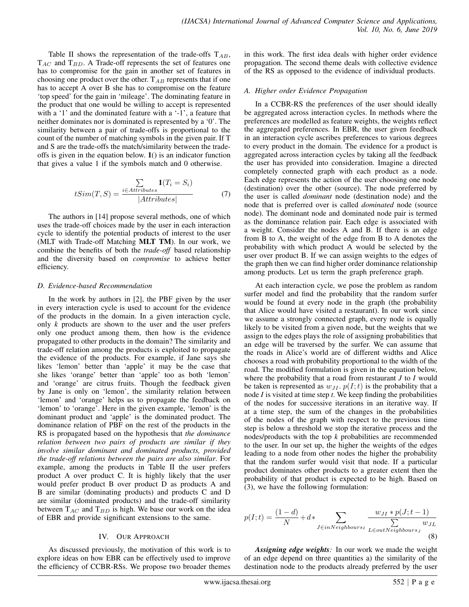Table II shows the representation of the trade-offs  $T_{AB}$ ,  $T_{AC}$  and  $T_{BD}$ . A Trade-off represents the set of features one has to compromise for the gain in another set of features in choosing one product over the other.  $T_{AB}$  represents that if one has to accept A over B she has to compromise on the feature 'top speed' for the gain in 'mileage'. The dominating feature in the product that one would be willing to accept is represented with a '1' and the dominated feature with a '-1', a feature that neither dominates nor is dominated is represented by a '0'. The similarity between a pair of trade-offs is proportional to the count of the number of matching symbols in the given pair. If T and S are the trade-offs the match/similarity between the tradeoffs is given in the equation below. 1() is an indicator function that gives a value 1 if the symbols match and 0 otherwise.

$$
tSim(T, S) = \frac{\sum_{i \in Attributes} \mathbf{1}(T_i = S_i)}{|Attributes|}
$$
(7)

The authors in [14] propose several methods, one of which uses the trade-off choices made by the user in each interaction cycle to identify the potential products of interest to the user (MLT with Trade-off Matching MLT TM). In our work, we combine the benefits of both the *trade-off* based relationship and the diversity based on *compromise* to achieve better efficiency.

### *D. Evidence-based Recommendation*

In the work by authors in [2], the PBF given by the user in every interaction cycle is used to account for the evidence of the products in the domain. In a given interaction cycle, only *k* products are shown to the user and the user prefers only one product among them, then how is the evidence propagated to other products in the domain? The similarity and trade-off relation among the products is exploited to propagate the evidence of the products. For example, if Jane says she likes 'lemon' better than 'apple' it may be the case that she likes 'orange' better than 'apple' too as both 'lemon' and 'orange' are citrus fruits. Though the feedback given by Jane is only on 'lemon', the similarity relation between 'lemon' and 'orange' helps us to propagate the feedback on 'lemon' to 'orange'. Here in the given example, 'lemon' is the dominant product and 'apple' is the dominated product. The dominance relation of PBF on the rest of the products in the RS is propagated based on the hypothesis that *the dominance relation between two pairs of products are similar if they involve similar dominant and dominated products, provided the trade-off relations between the pairs are also similar*. For example, among the products in Table II the user prefers product A over product C. It is highly likely that the user would prefer product B over product D as products A and B are similar (dominating products) and products C and D are similar (dominated products) and the trade-off similarity between  $T_{AC}$  and  $T_{BD}$  is high. We base our work on the idea of EBR and provide significant extensions to the same.

#### IV. OUR APPROACH

As discussed previously, the motivation of this work is to explore ideas on how EBR can be effectively used to improve the efficiency of CCBR-RSs. We propose two broader themes in this work. The first idea deals with higher order evidence propagation. The second theme deals with collective evidence of the RS as opposed to the evidence of individual products.

# *A. Higher order Evidence Propagation*

In a CCBR-RS the preferences of the user should ideally be aggregated across interaction cycles. In methods where the preferences are modelled as feature weights, the weights reflect the aggregated preferences. In EBR, the user given feedback in an interaction cycle ascribes preferences to various degrees to every product in the domain. The evidence for a product is aggregated across interaction cycles by taking all the feedback the user has provided into consideration. Imagine a directed completely connected graph with each product as a node. Each edge represents the action of the user choosing one node (destination) over the other (source). The node preferred by the user is called *dominant* node (destination node) and the node that is preferred over is called *dominated* node (source node). The dominant node and dominated node pair is termed as the dominance relation pair. Each edge is associated with a weight. Consider the nodes A and B. If there is an edge from B to A, the weight of the edge from B to A denotes the probability with which product A would be selected by the user over product B. If we can assign weights to the edges of the graph then we can find higher order dominance relationship among products. Let us term the graph preference graph.

At each interaction cycle, we pose the problem as random surfer model and find the probability that the random surfer would be found at every node in the graph (the probability that Alice would have visited a restaurant). In our work since we assume a strongly connected graph, every node is equally likely to be visited from a given node, but the weights that we assign to the edges plays the role of assigning probabilities that an edge will be traversed by the surfer. We can assume that the roads in Alice's world are of different widths and Alice chooses a road with probability proportional to the width of the road. The modified formulation is given in the equation below, where the probability that a road from restaurant *J* to *I* would be taken is represented as  $w_{JI}$ ,  $p(I;t)$  is the probability that a node *I* is visited at time step *t*. We keep finding the probabilities of the nodes for successive iterations in an iterative way. If at a time step, the sum of the changes in the probabilities of the nodes of the graph with respect to the previous time step is below a threshold we stop the iterative process and the nodes/products with the top *k* probabilities are recommended to the user. In our set up, the higher the weights of the edges leading to a node from other nodes the higher the probability that the random surfer would visit that node. If a particular product dominates other products to a greater extent then the probability of that product is expected to be high. Based on (3), we have the following formulation:

$$
p(I; t) = \frac{(1-d)}{N} + d * \sum_{J \in inNeighbours_I} \frac{w_{JI} * p(J; t-1)}{\sum_{L \in outNeighbours_J} w_{JL}}
$$
(8)

*Assigning edge weights:* In our work we made the weight of an edge depend on three quantities a) the similarity of the destination node to the products already preferred by the user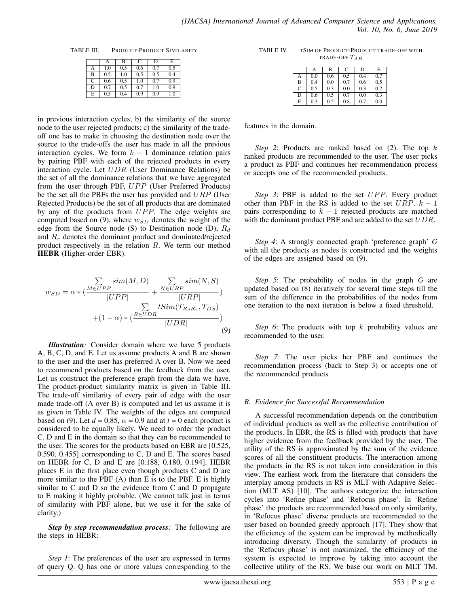TABLE III. PRODUCT-PRODUCT SIMILARITY

|   | A   | B   | C   | D   | E   |
|---|-----|-----|-----|-----|-----|
| А | 1.0 | 0.5 | 0.6 | 0.7 | 0.5 |
| B | 0.5 | 1.0 | 0.5 | 0.5 | 0.4 |
| С | 0.6 | 0.5 | 1.0 | 0.7 | 0.9 |
| D | 0.7 | 0.5 | 0.7 | 1.0 | 0.9 |
| E | 0.5 | 0.4 | 0.9 | 0.9 | 1.0 |

in previous interaction cycles; b) the similarity of the source node to the user rejected products; c) the similarity of the tradeoff one has to make in choosing the destination node over the source to the trade-offs the user has made in all the previous interaction cycles. We form  $k - 1$  dominance relation pairs by pairing PBF with each of the rejected products in every interaction cycle. Let UDR (User Dominance Relations) be the set of all the dominance relations that we have aggregated from the user through PBF, UPP (User Preferred Products) be the set all the PBFs the user has provided and  $URP$  (User Rejected Products) be the set of all products that are dominated by any of the products from  $UPP$ . The edge weights are computed based on (9), where  $w_{SD}$  denotes the weight of the edge from the Source node (S) to Destination node (D),  $R_d$ and  $R_r$  denotes the dominant product and dominated/rejected product respectively in the relation R. We term our method HEBR (Higher-order EBR).

$$
w_{SD} = \alpha * (\frac{\sum_{M \in UPP} sim(M, D)}{|UPP|} + \frac{\sum_{N \in URP} sim(N, S)}{|URP|}) + (1 - \alpha) * (\frac{R \in UDR}{|UDR|})
$$
\n(9)

*Illustration:* Consider domain where we have 5 products A, B, C, D, and E. Let us assume products A and B are shown to the user and the user has preferred A over B. Now we need to recommend products based on the feedback from the user. Let us construct the preference graph from the data we have. The product-product similarity matrix is given in Table III. The trade-off similarity of every pair of edge with the user made trade-off (A over B) is computed and let us assume it is as given in Table IV. The weights of the edges are computed based on (9). Let  $d = 0.85$ ,  $\alpha = 0.9$  and at  $t = 0$  each product is considered to be equally likely. We need to order the product C, D and E in the domain so that they can be recommended to the user. The scores for the products based on EBR are [0.525, 0.590, 0.455] corresponding to C, D and E. The scores based on HEBR for C, D and E are [0.188, 0.180, 0.194]. HEBR places E in the first place even though products C and D are more similar to the PBF (A) than E is to the PBF. E is highly similar to C and D so the evidence from C and D propagate to E making it highly probable. (We cannot talk just in terms of similarity with PBF alone, but we use it for the sake of clarity.)

*Step by step recommendation process:* The following are the steps in HEBR:

*Step 1*: The preferences of the user are expressed in terms of query Q. Q has one or more values corresponding to the

| TABLE IV. | TSIM OF PRODUCT-PRODUCT TRADE-OFF WITH |
|-----------|----------------------------------------|
|           | TRADE-OFF $T_{AB}$                     |

|   | A   | в   | C   | D   | E   |
|---|-----|-----|-----|-----|-----|
| A | 0.0 | 0.6 | 0.5 | 0.4 | 0.7 |
| B | 0.4 | 0.0 | 0.7 | 0.6 | 0.5 |
| C | 0.5 | 0.3 | 0.0 | 0.3 | 0.2 |
| D | 0.6 | 0.5 | 0.7 | 0.0 | 0.3 |
| E | 0.3 | 0.5 | 0.8 | 0.7 | 0.0 |

features in the domain.

*Step 2*: Products are ranked based on (2). The top k ranked products are recommended to the user. The user picks a product as PBF and continues her recommendation process or accepts one of the recommended products.

*Step 3*: PBF is added to the set UPP. Every product other than PBF in the RS is added to the set  $URP$ .  $k - 1$ pairs corresponding to  $k - 1$  rejected products are matched with the dominant product PBF and are added to the set  $UDR$ .

*Step 4*: A strongly connected graph 'preference graph' *G* with all the products as nodes is constructed and the weights of the edges are assigned based on (9).

*Step 5*: The probability of nodes in the graph *G* are updated based on (8) iteratively for several time steps till the sum of the difference in the probabilities of the nodes from one iteration to the next iteration is below a fixed threshold.

*Step 6*: The products with top k probability values are recommended to the user.

*Step 7*: The user picks her PBF and continues the recommendation process (back to Step 3) or accepts one of the recommended products

### *B. Evidence for Successful Recommendation*

A successful recommendation depends on the contribution of individual products as well as the collective contribution of the products. In EBR, the RS is filled with products that have higher evidence from the feedback provided by the user. The utility of the RS is approximated by the sum of the evidence scores of all the constituent products. The interaction among the products in the RS is not taken into consideration in this view. The earliest work from the literature that considers the interplay among products in RS is MLT with Adaptive Selection (MLT AS) [10]. The authors categorize the interaction cycles into 'Refine phase' and 'Refocus phase'. In 'Refine phase' the products are recommended based on only similarity, in 'Refocus phase' diverse products are recommended to the user based on bounded greedy approach [17]. They show that the efficiency of the system can be improved by methodically introducing diversity. Though the similarity of products in the 'Refocus phase' is not maximized, the efficiency of the system is expected to improve by taking into account the collective utility of the RS. We base our work on MLT TM.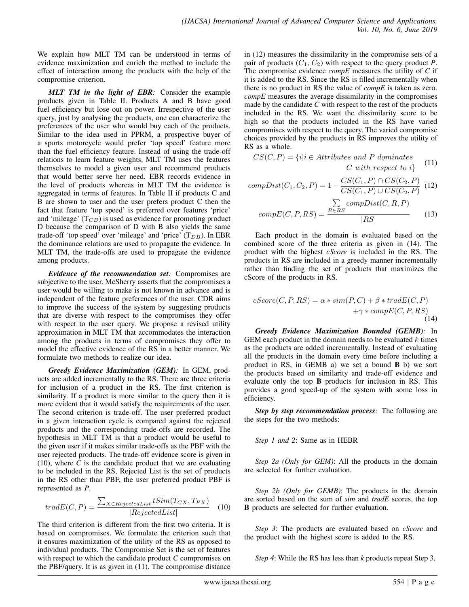We explain how MLT TM can be understood in terms of evidence maximization and enrich the method to include the effect of interaction among the products with the help of the compromise criterion.

*MLT TM in the light of EBR:* Consider the example products given in Table II. Products A and B have good fuel efficiency but lose out on power. Irrespective of the user query, just by analysing the products, one can characterize the preferences of the user who would buy each of the products. Similar to the idea used in PPRM, a prospective buyer of a sports motorcycle would prefer 'top speed' feature more than the fuel efficiency feature. Instead of using the trade-off relations to learn feature weights, MLT TM uses the features themselves to model a given user and recommend products that would better serve her need. EBR records evidence in the level of products whereas in MLT TM the evidence is aggregated in terms of features. In Table II if products C and B are shown to user and the user prefers product C then the fact that feature 'top speed' is preferred over features 'price' and 'mileage'  $(T_{CB})$  is used as evidence for promoting product D because the comparison of D with B also yields the same trade-off 'top speed' over 'mileage' and 'price'  $(T_{DB})$ . In EBR the dominance relations are used to propagate the evidence. In MLT TM, the trade-offs are used to propagate the evidence among products.

*Evidence of the recommendation set:* Compromises are subjective to the user. McSherry asserts that the compromises a user would be willing to make is not known in advance and is independent of the feature preferences of the user. CDR aims to improve the success of the system by suggesting products that are diverse with respect to the compromises they offer with respect to the user query. We propose a revised utility approximation in MLT TM that accommodates the interaction among the products in terms of compromises they offer to model the effective evidence of the RS in a better manner. We formulate two methods to realize our idea.

*Greedy Evidence Maximization (GEM):* In GEM, products are added incrementally to the RS. There are three criteria for inclusion of a product in the RS. The first criterion is similarity. If a product is more similar to the query then it is more evident that it would satisfy the requirements of the user. The second criterion is trade-off. The user preferred product in a given interaction cycle is compared against the rejected products and the corresponding trade-offs are recorded. The hypothesis in MLT TM is that a product would be useful to the given user if it makes similar trade-offs as the PBF with the user rejected products. The trade-off evidence score is given in (10), where *C* is the candidate product that we are evaluating to be included in the RS, Rejected List is the set of products in the RS other than PBF, the user preferred product PBF is represented as *P*.

$$
tradE(C, P) = \frac{\sum_{X \in RejectedList} tSim(T_{CX}, T_{PX})}{|RejectedList|}
$$
 (10)

The third criterion is different from the first two criteria. It is based on compromises. We formulate the criterion such that it ensures maximization of the utility of the RS as opposed to individual products. The Compromise Set is the set of features with respect to which the candidate product *C* compromises on the PBF/query. It is as given in (11). The compromise distance in (12) measures the dissimilarity in the compromise sets of a pair of products  $(C_1, C_2)$  with respect to the query product *P*. The compromise evidence *compE* measures the utility of *C* if it is added to the RS. Since the RS is filled incrementally when there is no product in RS the value of *compE* is taken as zero. *compE* measures the average dissimilarity in the compromises made by the candidate *C* with respect to the rest of the products included in the RS. We want the dissimilarity score to be high so that the products included in the RS have varied compromises with respect to the query. The varied compromise choices provided by the products in RS improves the utility of RS as a whole.

$$
CS(C, P) = \{i | i \in Attributes and P dominatesC with respect to i\}
$$
 (11)

compDist(C<sub>1</sub>, C<sub>2</sub>, P) = 
$$
1 - \frac{CS(C_1, P) \cap CS(C_2, P)}{CS(C_1, P) \cup CS(C_2, P)}
$$
 (12)

$$
compE(C, P, RS) = \frac{\sum_{R \in RS} compDist(C, R, P)}{|RS|}
$$
(13)

Each product in the domain is evaluated based on the combined score of the three criteria as given in (14). The product with the highest *cScore* is included in the RS. The products in RS are included in a greedy manner incrementally rather than finding the set of products that maximizes the cScore of the products in RS.

$$
cScore(C, P, RS) = \alpha * sim(P, C) + \beta * tradE(C, P) + \gamma * compE(C, P, RS)
$$
\n(14)

*Greedy Evidence Maximization Bounded (GEMB):* In GEM each product in the domain needs to be evaluated  $k$  times as the products are added incrementally. Instead of evaluating all the products in the domain every time before including a product in RS, in GEMB a) we set a bound B b) we sort the products based on similarity and trade-off evidence and evaluate only the top B products for inclusion in RS. This provides a good speed-up of the system with some loss in efficiency.

*Step by step recommendation process:* The following are the steps for the two methods:

*Step 1 and 2*: Same as in HEBR

*Step 2a (Only for GEM)*: All the products in the domain are selected for further evaluation.

*Step 2b (Only for GEMB)*: The products in the domain are sorted based on the sum of *sim* and *tradE* scores, the top B products are selected for further evaluation.

*Step 3*: The products are evaluated based on *cScore* and the product with the highest score is added to the RS.

*Step 4*: While the RS has less than *k* products repeat Step 3.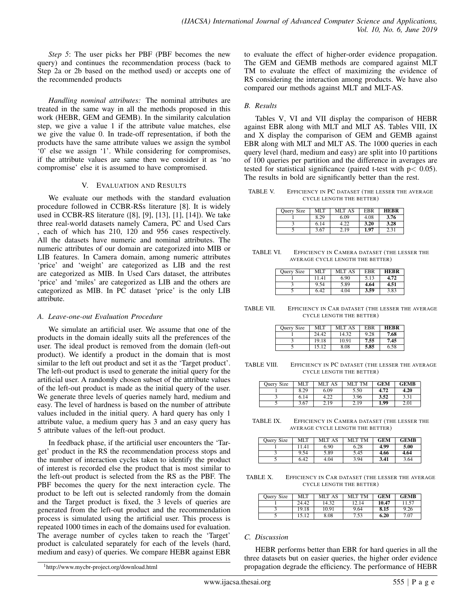*Step 5*: The user picks her PBF (PBF becomes the new query) and continues the recommendation process (back to Step 2a or 2b based on the method used) or accepts one of the recommended products

*Handling nominal attributes:* The nominal attributes are treated in the same way in all the methods proposed in this work (HEBR, GEM and GEMB). In the similarity calculation step, we give a value 1 if the attribute value matches, else we give the value 0. In trade-off representation, if both the products have the same attribute values we assign the symbol '0' else we assign '1'. While considering for compromises, if the attribute values are same then we consider it as 'no compromise' else it is assumed to have compromised.

#### V. EVALUATION AND RESULTS

We evaluate our methods with the standard evaluation procedure followed in CCBR-RSs literature [8]. It is widely used in CCBR-RS literature ([8], [9], [13], [1], [14]). We take three real-world datasets namely Camera, PC and Used Cars , each of which has 210, 120 and 956 cases respectively. All the datasets have numeric and nominal attributes. The numeric attributes of our domain are categorized into MIB or LIB features. In Camera domain, among numeric attributes 'price' and 'weight' are categorized as LIB and the rest are categorized as MIB. In Used Cars dataset, the attributes 'price' and 'miles' are categorized as LIB and the others are categorized as MIB. In PC dataset 'price' is the only LIB attribute.

### *A. Leave-one-out Evaluation Procedure*

We simulate an artificial user. We assume that one of the products in the domain ideally suits all the preferences of the user. The ideal product is removed from the domain (left-out product). We identify a product in the domain that is most similar to the left out product and set it as the 'Target product'. The left-out product is used to generate the initial query for the artificial user. A randomly chosen subset of the attribute values of the left-out product is made as the initial query of the user. We generate three levels of queries namely hard, medium and easy. The level of hardness is based on the number of attribute values included in the initial query. A hard query has only 1 attribute value, a medium query has 3 and an easy query has 5 attribute values of the left-out product.

In feedback phase, if the artificial user encounters the 'Target' product in the RS the recommendation process stops and the number of interaction cycles taken to identify the product of interest is recorded else the product that is most similar to the left-out product is selected from the RS as the PBF. The PBF becomes the query for the next interaction cycle. The product to be left out is selected randomly from the domain and the Target product is fixed, the 3 levels of queries are generated from the left-out product and the recommendation process is simulated using the artificial user. This process is repeated 1000 times in each of the domains used for evaluation. The average number of cycles taken to reach the 'Target' product is calculated separately for each of the levels (hard, medium and easy) of queries. We compare HEBR against EBR

to evaluate the effect of higher-order evidence propagation. The GEM and GEMB methods are compared against MLT TM to evaluate the effect of maximizing the evidence of RS considering the interaction among products. We have also compared our methods against MLT and MLT-AS.

## *B. Results*

Tables V, VI and VII display the comparison of HEBR against EBR along with MLT and MLT AS. Tables VIII, IX and X display the comparison of GEM and GEMB against EBR along with MLT and MLT AS. The 1000 queries in each query level (hard, medium and easy) are split into 10 partitions of 100 queries per partition and the difference in averages are tested for statistical significance (paired t-test with  $p < 0.05$ ). The results in bold are significantly better than the rest.

TABLE V. EFFICIENCY IN PC DATASET (THE LESSER THE AVERAGE CYCLE LENGTH THE BETTER)

| <b>Ouery Size</b> | MLT  | MLT AS | EBR  | <b>HERR</b> |
|-------------------|------|--------|------|-------------|
|                   | 8.29 | 6.09   | 4.08 | 3.76        |
|                   | 6.14 | 4.22   | 3.20 | 3.28        |
|                   | 3.67 | 2.19   | 1.97 | 2.31        |

| TABLE VI. | EFFICIENCY IN CAMERA DATASET (THE LESSER THE |
|-----------|----------------------------------------------|
|           | AVERAGE CYCLE LENGTH THE BETTER)             |

| <b>Ouery Size</b> | MLT  | MLT AS | <b>ERR</b> | <b>HERR</b> |
|-------------------|------|--------|------------|-------------|
|                   | 1141 | 6.90   | 5.13       | 4.72        |
|                   | 9.54 | 5.89   | 4.64       | 4.51        |
|                   | 6.42 | 4.04   | 3.59       | 3.83        |

TABLE VII. EFFICIENCY IN CAR DATASET (THE LESSER THE AVERAGE CYCLE LENGTH THE BETTER)

| <b>Ouerv Size</b> | MLT   | MLT AS | EBR  | <b>HERR</b> |
|-------------------|-------|--------|------|-------------|
|                   | 24 42 | 14.32  | 9.28 | 7.68        |
|                   | 19.18 | 10.91  | 7.55 | 7.45        |
|                   | 15.12 | 8.08   | 5.85 | 6.58        |

TABLE VIII. EFFICIENCY IN PC DATASET (THE LESSER THE AVERAGE CYCLE LENGTH THE BETTER)

| <b>Ouery Size</b> | MI T | MLT AS | <b>MLT TM</b> | <b>GEM</b> | <b>GEMB</b> |
|-------------------|------|--------|---------------|------------|-------------|
|                   | 8.29 | 6.09   | 5.50          | 4.72       | 4.20        |
|                   | 6.14 |        | 3.96          | 3.52       | 3.31        |
|                   | 3.67 | 2.19   | 2.19          | 1.99       | 2.01        |

TABLE IX. EFFICIENCY IN CAMERA DATASET (THE LESSER THE AVERAGE CYCLE LENGTH THE BETTER)

| <b>Ouery Size</b> | MLT   | MLT AS | <b>MLT TM</b> | <b>GEM</b> | <b>GEMB</b> |
|-------------------|-------|--------|---------------|------------|-------------|
|                   | 11.41 | 6.90   | 6.28          | 4.99       | 5.00        |
|                   | 9.54  | 5.89   | 5.45          | 4.66       | 4.64        |
|                   | 6.42  | 4.04   | 3.94          | 3.41       | 3.64        |

TABLE X. EFFICIENCY IN CAR DATASET (THE LESSER THE AVERAGE CYCLE LENGTH THE BETTER)

| <b>Ouery Size</b> | MI T  | MLT AS | <b>MLT TM</b> | <b>GEM</b> | GEMB  |
|-------------------|-------|--------|---------------|------------|-------|
|                   | 24.42 | 14.32  | 12.14         | 10.47      | 1.57ء |
|                   | 19.18 | 10.91  | 9.64          | 8.15       | 9.26  |
|                   | 15.12 | 8.08   | 7.53          | 6.20       | 7.07  |

### *C. Discussion*

HEBR performs better than EBR for hard queries in all the three datasets but on easier queries, the higher order evidence propagation degrade the efficiency. The performance of HEBR

<sup>1</sup>http://www.mycbr-project.org/download.html